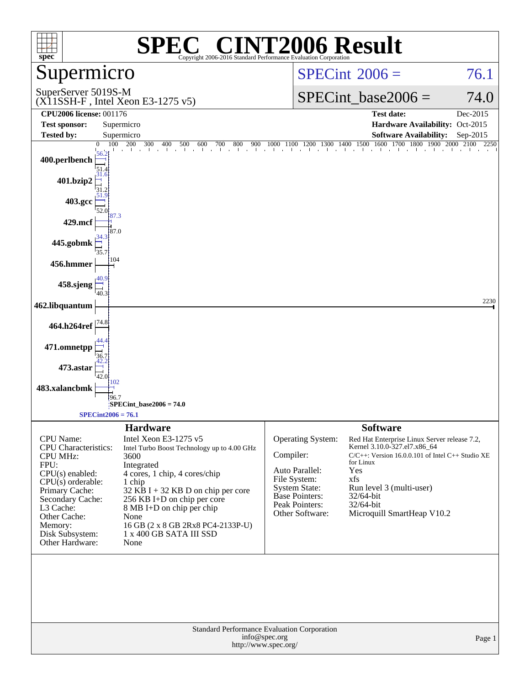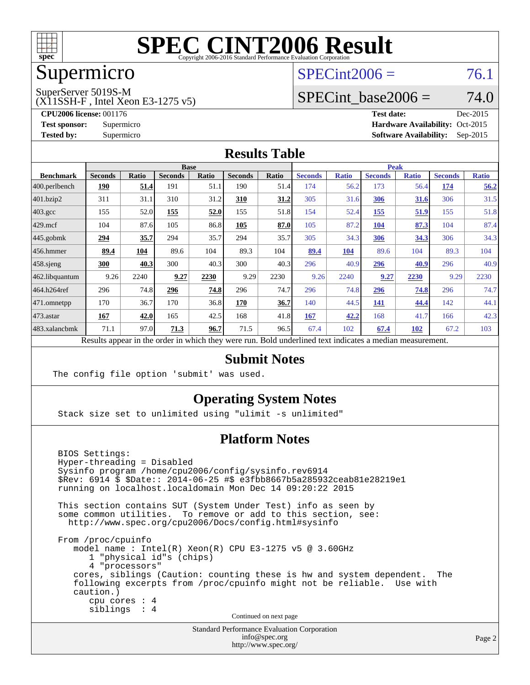

## Supermicro

#### $SPECint2006 = 76.1$  $SPECint2006 = 76.1$

SuperServer 5019S-M

(X11SSH-F , Intel Xeon E3-1275 v5)

SPECint base2006 =  $74.0$ 

**[CPU2006 license:](http://www.spec.org/auto/cpu2006/Docs/result-fields.html#CPU2006license)** 001176 **[Test date:](http://www.spec.org/auto/cpu2006/Docs/result-fields.html#Testdate)** Dec-2015 **[Test sponsor:](http://www.spec.org/auto/cpu2006/Docs/result-fields.html#Testsponsor)** Supermicro Supermicro **[Hardware Availability:](http://www.spec.org/auto/cpu2006/Docs/result-fields.html#HardwareAvailability)** Oct-2015 **[Tested by:](http://www.spec.org/auto/cpu2006/Docs/result-fields.html#Testedby)** Supermicro **Supermicro [Software Availability:](http://www.spec.org/auto/cpu2006/Docs/result-fields.html#SoftwareAvailability)** Sep-2015

#### **[Results Table](http://www.spec.org/auto/cpu2006/Docs/result-fields.html#ResultsTable)**

|                      | <b>Base</b>                                                                                              |              |                |       |                |       | <b>Peak</b>    |              |                |              |                |              |
|----------------------|----------------------------------------------------------------------------------------------------------|--------------|----------------|-------|----------------|-------|----------------|--------------|----------------|--------------|----------------|--------------|
| <b>Benchmark</b>     | <b>Seconds</b>                                                                                           | <b>Ratio</b> | <b>Seconds</b> | Ratio | <b>Seconds</b> | Ratio | <b>Seconds</b> | <b>Ratio</b> | <b>Seconds</b> | <b>Ratio</b> | <b>Seconds</b> | <b>Ratio</b> |
| 400.perlbench        | 190                                                                                                      | <u>51.4</u>  | 191            | 51.1  | 190            | 51.4  | 174            | 56.2         | 173            | 56.4         | 174            | 56.2         |
| 401.bzip2            | 311                                                                                                      | 31.1         | 310            | 31.2  | 310            | 31.2  | 305            | 31.6         | 306            | 31.6         | 306            | 31.5         |
| $403.\text{gcc}$     | 155                                                                                                      | 52.0         | 155            | 52.0  | 155            | 51.8  | 154            | 52.4         | 155            | 51.9         | 155            | 51.8         |
| $429$ mcf            | 104                                                                                                      | 87.6         | 105            | 86.8  | 105            | 87.0  | 105            | 87.2         | <b>104</b>     | 87.3         | 104            | 87.4         |
| $ 445.\text{gobmk} $ | 294                                                                                                      | 35.7         | 294            | 35.7  | 294            | 35.7  | 305            | 34.3         | 306            | 34.3         | 306            | 34.3         |
| $456.$ hmmer         | 89.4                                                                                                     | 104          | 89.6           | 104   | 89.3           | 104   | 89.4           | 104          | 89.6           | 104          | 89.3           | 104          |
| $458$ .sjeng         | 300                                                                                                      | 40.3         | 300            | 40.3  | 300            | 40.3  | 296            | 40.9         | 296            | 40.9         | 296            | 40.9         |
| 462.libquantum       | 9.26                                                                                                     | 2240         | 9.27           | 2230  | 9.29           | 2230  | 9.26           | 2240         | 9.27           | 2230         | 9.29           | 2230         |
| 464.h264ref          | 296                                                                                                      | 74.8         | 296            | 74.8  | 296            | 74.7  | 296            | 74.8         | 296            | 74.8         | 296            | 74.7         |
| $ 471$ .omnetpp      | 170                                                                                                      | 36.7         | 170            | 36.8  | 170            | 36.7  | 140            | 44.5         | 141            | 44.4         | 142            | 44.1         |
| $473$ . astar        | 167                                                                                                      | 42.0         | 165            | 42.5  | 168            | 41.8  | 167            | 42.2         | 168            | 41.7         | 166            | 42.3         |
| 483.xalancbmk        | 71.1                                                                                                     | 97.0         | 71.3           | 96.7  | 71.5           | 96.5  | 67.4           | 102          | 67.4           | 102          | 67.2           | 103          |
|                      | Results appear in the order in which they were run. Bold underlined text indicates a median measurement. |              |                |       |                |       |                |              |                |              |                |              |

#### **[Submit Notes](http://www.spec.org/auto/cpu2006/Docs/result-fields.html#SubmitNotes)**

The config file option 'submit' was used.

#### **[Operating System Notes](http://www.spec.org/auto/cpu2006/Docs/result-fields.html#OperatingSystemNotes)**

Stack size set to unlimited using "ulimit -s unlimited"

#### **[Platform Notes](http://www.spec.org/auto/cpu2006/Docs/result-fields.html#PlatformNotes)**

 BIOS Settings: Hyper-threading = Disabled Sysinfo program /home/cpu2006/config/sysinfo.rev6914 \$Rev: 6914 \$ \$Date:: 2014-06-25 #\$ e3fbb8667b5a285932ceab81e28219e1 running on localhost.localdomain Mon Dec 14 09:20:22 2015 This section contains SUT (System Under Test) info as seen by some common utilities. To remove or add to this section, see: <http://www.spec.org/cpu2006/Docs/config.html#sysinfo> From /proc/cpuinfo model name : Intel(R) Xeon(R) CPU E3-1275 v5 @ 3.60GHz 1 "physical id"s (chips) 4 "processors" cores, siblings (Caution: counting these is hw and system dependent. The following excerpts from /proc/cpuinfo might not be reliable. Use with caution.) cpu cores : 4 siblings : 4 Continued on next page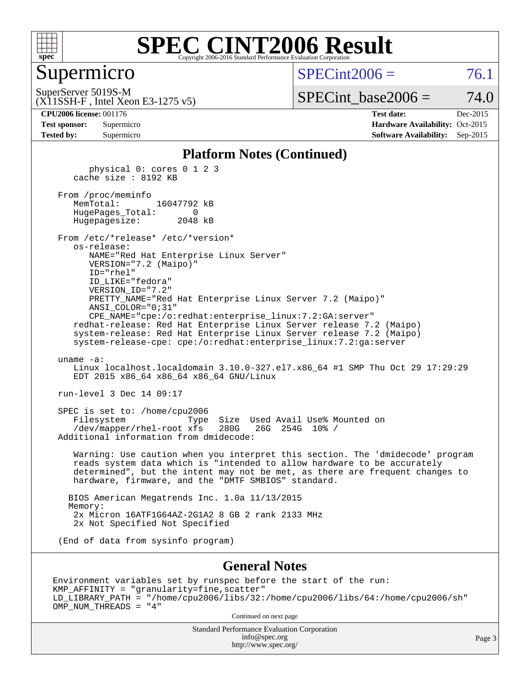

#### Supermicro

 $SPECint2006 = 76.1$  $SPECint2006 = 76.1$ 

(X11SSH-F , Intel Xeon E3-1275 v5) SuperServer 5019S-M

SPECint base2006 =  $74.0$ 

| <b>Test sponsor:</b> | Supermicro |
|----------------------|------------|
| <b>Tested by:</b>    | Supermicro |

**[CPU2006 license:](http://www.spec.org/auto/cpu2006/Docs/result-fields.html#CPU2006license)** 001176 **[Test date:](http://www.spec.org/auto/cpu2006/Docs/result-fields.html#Testdate)** Dec-2015 **[Hardware Availability:](http://www.spec.org/auto/cpu2006/Docs/result-fields.html#HardwareAvailability)** Oct-2015 **[Software Availability:](http://www.spec.org/auto/cpu2006/Docs/result-fields.html#SoftwareAvailability)** Sep-2015

#### **[Platform Notes \(Continued\)](http://www.spec.org/auto/cpu2006/Docs/result-fields.html#PlatformNotes)**

 physical 0: cores 0 1 2 3 cache size : 8192 KB From /proc/meminfo<br>MemTotal: 16047792 kB HugePages\_Total: 0 Hugepagesize: 2048 kB From /etc/\*release\* /etc/\*version\* os-release: NAME="Red Hat Enterprise Linux Server" VERSION="7.2 (Maipo)" ID="rhel" ID\_LIKE="fedora" VERSION\_ID="7.2" PRETTY\_NAME="Red Hat Enterprise Linux Server 7.2 (Maipo)" ANSI\_COLOR="0;31" CPE\_NAME="cpe:/o:redhat:enterprise\_linux:7.2:GA:server" redhat-release: Red Hat Enterprise Linux Server release 7.2 (Maipo) system-release: Red Hat Enterprise Linux Server release 7.2 (Maipo) system-release-cpe: cpe:/o:redhat:enterprise\_linux:7.2:ga:server uname -a: Linux localhost.localdomain 3.10.0-327.el7.x86\_64 #1 SMP Thu Oct 29 17:29:29 EDT 2015 x86\_64 x86\_64 x86\_64 GNU/Linux run-level 3 Dec 14 09:17 SPEC is set to: /home/cpu2006 Filesystem Type Size Used Avail Use% Mounted on<br>/dev/mapper/rhel-root xfs 280G 26G 254G 10% / /dev/mapper/rhel-root xfs 280G Additional information from dmidecode: Warning: Use caution when you interpret this section. The 'dmidecode' program reads system data which is "intended to allow hardware to be accurately determined", but the intent may not be met, as there are frequent changes to hardware, firmware, and the "DMTF SMBIOS" standard. BIOS American Megatrends Inc. 1.0a 11/13/2015 Memory: 2x Micron 16ATF1G64AZ-2G1A2 8 GB 2 rank 2133 MHz 2x Not Specified Not Specified (End of data from sysinfo program)

#### **[General Notes](http://www.spec.org/auto/cpu2006/Docs/result-fields.html#GeneralNotes)**

Environment variables set by runspec before the start of the run: KMP\_AFFINITY = "granularity=fine,scatter" LD\_LIBRARY\_PATH = "/home/cpu2006/libs/32:/home/cpu2006/libs/64:/home/cpu2006/sh" OMP\_NUM\_THREADS = "4"

Continued on next page

Standard Performance Evaluation Corporation [info@spec.org](mailto:info@spec.org) <http://www.spec.org/>

Page 3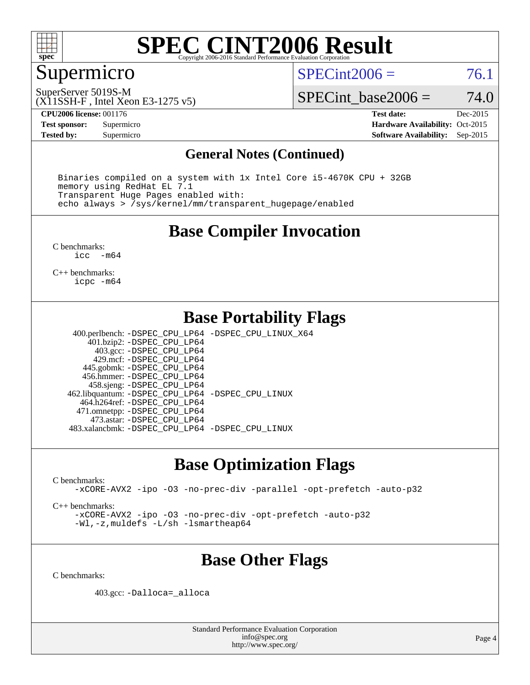

### Supermicro

 $SPECint2006 = 76.1$  $SPECint2006 = 76.1$ 

(X11SSH-F , Intel Xeon E3-1275 v5) SuperServer 5019S-M

SPECint base2006 =  $74.0$ 

**[CPU2006 license:](http://www.spec.org/auto/cpu2006/Docs/result-fields.html#CPU2006license)** 001176 **[Test date:](http://www.spec.org/auto/cpu2006/Docs/result-fields.html#Testdate)** Dec-2015

**[Test sponsor:](http://www.spec.org/auto/cpu2006/Docs/result-fields.html#Testsponsor)** Supermicro Supermicro **[Hardware Availability:](http://www.spec.org/auto/cpu2006/Docs/result-fields.html#HardwareAvailability)** Oct-2015

**[Tested by:](http://www.spec.org/auto/cpu2006/Docs/result-fields.html#Testedby)** Supermicro **Supermicro [Software Availability:](http://www.spec.org/auto/cpu2006/Docs/result-fields.html#SoftwareAvailability)** Sep-2015

#### **[General Notes \(Continued\)](http://www.spec.org/auto/cpu2006/Docs/result-fields.html#GeneralNotes)**

 Binaries compiled on a system with 1x Intel Core i5-4670K CPU + 32GB memory using RedHat EL 7.1 Transparent Huge Pages enabled with: echo always > /sys/kernel/mm/transparent\_hugepage/enabled

#### **[Base Compiler Invocation](http://www.spec.org/auto/cpu2006/Docs/result-fields.html#BaseCompilerInvocation)**

[C benchmarks](http://www.spec.org/auto/cpu2006/Docs/result-fields.html#Cbenchmarks):<br> $\frac{1}{2}$ cc  $-m64$ 

[C++ benchmarks:](http://www.spec.org/auto/cpu2006/Docs/result-fields.html#CXXbenchmarks) [icpc -m64](http://www.spec.org/cpu2006/results/res2016q1/cpu2006-20151217-38467.flags.html#user_CXXbase_intel_icpc_64bit_fc66a5337ce925472a5c54ad6a0de310)

#### **[Base Portability Flags](http://www.spec.org/auto/cpu2006/Docs/result-fields.html#BasePortabilityFlags)**

 400.perlbench: [-DSPEC\\_CPU\\_LP64](http://www.spec.org/cpu2006/results/res2016q1/cpu2006-20151217-38467.flags.html#b400.perlbench_basePORTABILITY_DSPEC_CPU_LP64) [-DSPEC\\_CPU\\_LINUX\\_X64](http://www.spec.org/cpu2006/results/res2016q1/cpu2006-20151217-38467.flags.html#b400.perlbench_baseCPORTABILITY_DSPEC_CPU_LINUX_X64) 401.bzip2: [-DSPEC\\_CPU\\_LP64](http://www.spec.org/cpu2006/results/res2016q1/cpu2006-20151217-38467.flags.html#suite_basePORTABILITY401_bzip2_DSPEC_CPU_LP64) 403.gcc: [-DSPEC\\_CPU\\_LP64](http://www.spec.org/cpu2006/results/res2016q1/cpu2006-20151217-38467.flags.html#suite_basePORTABILITY403_gcc_DSPEC_CPU_LP64) 429.mcf: [-DSPEC\\_CPU\\_LP64](http://www.spec.org/cpu2006/results/res2016q1/cpu2006-20151217-38467.flags.html#suite_basePORTABILITY429_mcf_DSPEC_CPU_LP64) 445.gobmk: [-DSPEC\\_CPU\\_LP64](http://www.spec.org/cpu2006/results/res2016q1/cpu2006-20151217-38467.flags.html#suite_basePORTABILITY445_gobmk_DSPEC_CPU_LP64) 456.hmmer: [-DSPEC\\_CPU\\_LP64](http://www.spec.org/cpu2006/results/res2016q1/cpu2006-20151217-38467.flags.html#suite_basePORTABILITY456_hmmer_DSPEC_CPU_LP64) 458.sjeng: [-DSPEC\\_CPU\\_LP64](http://www.spec.org/cpu2006/results/res2016q1/cpu2006-20151217-38467.flags.html#suite_basePORTABILITY458_sjeng_DSPEC_CPU_LP64) 462.libquantum: [-DSPEC\\_CPU\\_LP64](http://www.spec.org/cpu2006/results/res2016q1/cpu2006-20151217-38467.flags.html#suite_basePORTABILITY462_libquantum_DSPEC_CPU_LP64) [-DSPEC\\_CPU\\_LINUX](http://www.spec.org/cpu2006/results/res2016q1/cpu2006-20151217-38467.flags.html#b462.libquantum_baseCPORTABILITY_DSPEC_CPU_LINUX) 464.h264ref: [-DSPEC\\_CPU\\_LP64](http://www.spec.org/cpu2006/results/res2016q1/cpu2006-20151217-38467.flags.html#suite_basePORTABILITY464_h264ref_DSPEC_CPU_LP64) 471.omnetpp: [-DSPEC\\_CPU\\_LP64](http://www.spec.org/cpu2006/results/res2016q1/cpu2006-20151217-38467.flags.html#suite_basePORTABILITY471_omnetpp_DSPEC_CPU_LP64) 473.astar: [-DSPEC\\_CPU\\_LP64](http://www.spec.org/cpu2006/results/res2016q1/cpu2006-20151217-38467.flags.html#suite_basePORTABILITY473_astar_DSPEC_CPU_LP64) 483.xalancbmk: [-DSPEC\\_CPU\\_LP64](http://www.spec.org/cpu2006/results/res2016q1/cpu2006-20151217-38467.flags.html#suite_basePORTABILITY483_xalancbmk_DSPEC_CPU_LP64) [-DSPEC\\_CPU\\_LINUX](http://www.spec.org/cpu2006/results/res2016q1/cpu2006-20151217-38467.flags.html#b483.xalancbmk_baseCXXPORTABILITY_DSPEC_CPU_LINUX)

### **[Base Optimization Flags](http://www.spec.org/auto/cpu2006/Docs/result-fields.html#BaseOptimizationFlags)**

[C benchmarks](http://www.spec.org/auto/cpu2006/Docs/result-fields.html#Cbenchmarks):

[-xCORE-AVX2](http://www.spec.org/cpu2006/results/res2016q1/cpu2006-20151217-38467.flags.html#user_CCbase_f-xAVX2_5f5fc0cbe2c9f62c816d3e45806c70d7) [-ipo](http://www.spec.org/cpu2006/results/res2016q1/cpu2006-20151217-38467.flags.html#user_CCbase_f-ipo) [-O3](http://www.spec.org/cpu2006/results/res2016q1/cpu2006-20151217-38467.flags.html#user_CCbase_f-O3) [-no-prec-div](http://www.spec.org/cpu2006/results/res2016q1/cpu2006-20151217-38467.flags.html#user_CCbase_f-no-prec-div) [-parallel](http://www.spec.org/cpu2006/results/res2016q1/cpu2006-20151217-38467.flags.html#user_CCbase_f-parallel) [-opt-prefetch](http://www.spec.org/cpu2006/results/res2016q1/cpu2006-20151217-38467.flags.html#user_CCbase_f-opt-prefetch) [-auto-p32](http://www.spec.org/cpu2006/results/res2016q1/cpu2006-20151217-38467.flags.html#user_CCbase_f-auto-p32)

[C++ benchmarks:](http://www.spec.org/auto/cpu2006/Docs/result-fields.html#CXXbenchmarks)

[-xCORE-AVX2](http://www.spec.org/cpu2006/results/res2016q1/cpu2006-20151217-38467.flags.html#user_CXXbase_f-xAVX2_5f5fc0cbe2c9f62c816d3e45806c70d7) [-ipo](http://www.spec.org/cpu2006/results/res2016q1/cpu2006-20151217-38467.flags.html#user_CXXbase_f-ipo) [-O3](http://www.spec.org/cpu2006/results/res2016q1/cpu2006-20151217-38467.flags.html#user_CXXbase_f-O3) [-no-prec-div](http://www.spec.org/cpu2006/results/res2016q1/cpu2006-20151217-38467.flags.html#user_CXXbase_f-no-prec-div) [-opt-prefetch](http://www.spec.org/cpu2006/results/res2016q1/cpu2006-20151217-38467.flags.html#user_CXXbase_f-opt-prefetch) [-auto-p32](http://www.spec.org/cpu2006/results/res2016q1/cpu2006-20151217-38467.flags.html#user_CXXbase_f-auto-p32) [-Wl,-z,muldefs](http://www.spec.org/cpu2006/results/res2016q1/cpu2006-20151217-38467.flags.html#user_CXXbase_link_force_multiple1_74079c344b956b9658436fd1b6dd3a8a) [-L/sh -lsmartheap64](http://www.spec.org/cpu2006/results/res2016q1/cpu2006-20151217-38467.flags.html#user_CXXbase_SmartHeap64_ed4ef857ce90951921efb0d91eb88472)

## **[Base Other Flags](http://www.spec.org/auto/cpu2006/Docs/result-fields.html#BaseOtherFlags)**

[C benchmarks](http://www.spec.org/auto/cpu2006/Docs/result-fields.html#Cbenchmarks):

403.gcc: [-Dalloca=\\_alloca](http://www.spec.org/cpu2006/results/res2016q1/cpu2006-20151217-38467.flags.html#b403.gcc_baseEXTRA_CFLAGS_Dalloca_be3056838c12de2578596ca5467af7f3)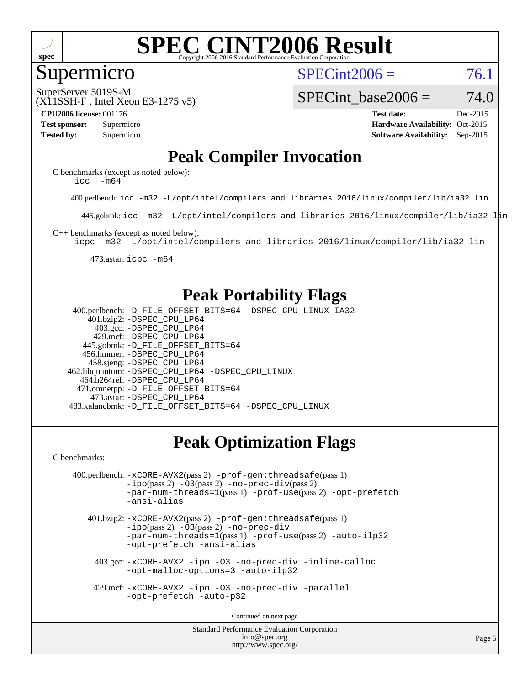

#### Supermicro

 $SPECint2006 = 76.1$  $SPECint2006 = 76.1$ 

(X11SSH-F , Intel Xeon E3-1275 v5) SuperServer 5019S-M

SPECint base2006 =  $74.0$ 

**[CPU2006 license:](http://www.spec.org/auto/cpu2006/Docs/result-fields.html#CPU2006license)** 001176 **[Test date:](http://www.spec.org/auto/cpu2006/Docs/result-fields.html#Testdate)** Dec-2015 **[Test sponsor:](http://www.spec.org/auto/cpu2006/Docs/result-fields.html#Testsponsor)** Supermicro Supermicro **[Hardware Availability:](http://www.spec.org/auto/cpu2006/Docs/result-fields.html#HardwareAvailability)** Oct-2015 **[Tested by:](http://www.spec.org/auto/cpu2006/Docs/result-fields.html#Testedby)** Supermicro **Supermicro [Software Availability:](http://www.spec.org/auto/cpu2006/Docs/result-fields.html#SoftwareAvailability)** Sep-2015

### **[Peak Compiler Invocation](http://www.spec.org/auto/cpu2006/Docs/result-fields.html#PeakCompilerInvocation)**

[C benchmarks \(except as noted below\)](http://www.spec.org/auto/cpu2006/Docs/result-fields.html#Cbenchmarksexceptasnotedbelow): [icc -m64](http://www.spec.org/cpu2006/results/res2016q1/cpu2006-20151217-38467.flags.html#user_CCpeak_intel_icc_64bit_f346026e86af2a669e726fe758c88044)

400.perlbench: [icc -m32 -L/opt/intel/compilers\\_and\\_libraries\\_2016/linux/compiler/lib/ia32\\_lin](http://www.spec.org/cpu2006/results/res2016q1/cpu2006-20151217-38467.flags.html#user_peakCCLD400_perlbench_intel_icc_e10256ba5924b668798078a321b0cb3f)

445.gobmk: [icc -m32 -L/opt/intel/compilers\\_and\\_libraries\\_2016/linux/compiler/lib/ia32\\_lin](http://www.spec.org/cpu2006/results/res2016q1/cpu2006-20151217-38467.flags.html#user_peakCCLD445_gobmk_intel_icc_e10256ba5924b668798078a321b0cb3f)

[C++ benchmarks \(except as noted below\):](http://www.spec.org/auto/cpu2006/Docs/result-fields.html#CXXbenchmarksexceptasnotedbelow)

[icpc -m32 -L/opt/intel/compilers\\_and\\_libraries\\_2016/linux/compiler/lib/ia32\\_lin](http://www.spec.org/cpu2006/results/res2016q1/cpu2006-20151217-38467.flags.html#user_CXXpeak_intel_icpc_b4f50a394bdb4597aa5879c16bc3f5c5)

473.astar: [icpc -m64](http://www.spec.org/cpu2006/results/res2016q1/cpu2006-20151217-38467.flags.html#user_peakCXXLD473_astar_intel_icpc_64bit_fc66a5337ce925472a5c54ad6a0de310)

### **[Peak Portability Flags](http://www.spec.org/auto/cpu2006/Docs/result-fields.html#PeakPortabilityFlags)**

 400.perlbench: [-D\\_FILE\\_OFFSET\\_BITS=64](http://www.spec.org/cpu2006/results/res2016q1/cpu2006-20151217-38467.flags.html#user_peakPORTABILITY400_perlbench_file_offset_bits_64_438cf9856305ebd76870a2c6dc2689ab) [-DSPEC\\_CPU\\_LINUX\\_IA32](http://www.spec.org/cpu2006/results/res2016q1/cpu2006-20151217-38467.flags.html#b400.perlbench_peakCPORTABILITY_DSPEC_CPU_LINUX_IA32) 401.bzip2: [-DSPEC\\_CPU\\_LP64](http://www.spec.org/cpu2006/results/res2016q1/cpu2006-20151217-38467.flags.html#suite_peakPORTABILITY401_bzip2_DSPEC_CPU_LP64) 403.gcc: [-DSPEC\\_CPU\\_LP64](http://www.spec.org/cpu2006/results/res2016q1/cpu2006-20151217-38467.flags.html#suite_peakPORTABILITY403_gcc_DSPEC_CPU_LP64) 429.mcf: [-DSPEC\\_CPU\\_LP64](http://www.spec.org/cpu2006/results/res2016q1/cpu2006-20151217-38467.flags.html#suite_peakPORTABILITY429_mcf_DSPEC_CPU_LP64) 445.gobmk: [-D\\_FILE\\_OFFSET\\_BITS=64](http://www.spec.org/cpu2006/results/res2016q1/cpu2006-20151217-38467.flags.html#user_peakPORTABILITY445_gobmk_file_offset_bits_64_438cf9856305ebd76870a2c6dc2689ab) 456.hmmer: [-DSPEC\\_CPU\\_LP64](http://www.spec.org/cpu2006/results/res2016q1/cpu2006-20151217-38467.flags.html#suite_peakPORTABILITY456_hmmer_DSPEC_CPU_LP64) 458.sjeng: [-DSPEC\\_CPU\\_LP64](http://www.spec.org/cpu2006/results/res2016q1/cpu2006-20151217-38467.flags.html#suite_peakPORTABILITY458_sjeng_DSPEC_CPU_LP64) 462.libquantum: [-DSPEC\\_CPU\\_LP64](http://www.spec.org/cpu2006/results/res2016q1/cpu2006-20151217-38467.flags.html#suite_peakPORTABILITY462_libquantum_DSPEC_CPU_LP64) [-DSPEC\\_CPU\\_LINUX](http://www.spec.org/cpu2006/results/res2016q1/cpu2006-20151217-38467.flags.html#b462.libquantum_peakCPORTABILITY_DSPEC_CPU_LINUX) 464.h264ref: [-DSPEC\\_CPU\\_LP64](http://www.spec.org/cpu2006/results/res2016q1/cpu2006-20151217-38467.flags.html#suite_peakPORTABILITY464_h264ref_DSPEC_CPU_LP64) 471.omnetpp: [-D\\_FILE\\_OFFSET\\_BITS=64](http://www.spec.org/cpu2006/results/res2016q1/cpu2006-20151217-38467.flags.html#user_peakPORTABILITY471_omnetpp_file_offset_bits_64_438cf9856305ebd76870a2c6dc2689ab) 473.astar: [-DSPEC\\_CPU\\_LP64](http://www.spec.org/cpu2006/results/res2016q1/cpu2006-20151217-38467.flags.html#suite_peakPORTABILITY473_astar_DSPEC_CPU_LP64) 483.xalancbmk: [-D\\_FILE\\_OFFSET\\_BITS=64](http://www.spec.org/cpu2006/results/res2016q1/cpu2006-20151217-38467.flags.html#user_peakPORTABILITY483_xalancbmk_file_offset_bits_64_438cf9856305ebd76870a2c6dc2689ab) [-DSPEC\\_CPU\\_LINUX](http://www.spec.org/cpu2006/results/res2016q1/cpu2006-20151217-38467.flags.html#b483.xalancbmk_peakCXXPORTABILITY_DSPEC_CPU_LINUX)

## **[Peak Optimization Flags](http://www.spec.org/auto/cpu2006/Docs/result-fields.html#PeakOptimizationFlags)**

[C benchmarks](http://www.spec.org/auto/cpu2006/Docs/result-fields.html#Cbenchmarks):

```
 400.perlbench: -xCORE-AVX2(pass 2) -prof-gen:threadsafe(pass 1)
-no-prec-div(pass 2)-par-num-threads=1(pass 1) -prof-use(pass 2) -opt-prefetch
-ansi-alias
```
 401.bzip2: [-xCORE-AVX2](http://www.spec.org/cpu2006/results/res2016q1/cpu2006-20151217-38467.flags.html#user_peakPASS2_CFLAGSPASS2_LDCFLAGS401_bzip2_f-xAVX2_5f5fc0cbe2c9f62c816d3e45806c70d7)(pass 2) [-prof-gen:threadsafe](http://www.spec.org/cpu2006/results/res2016q1/cpu2006-20151217-38467.flags.html#user_peakPASS1_CFLAGSPASS1_LDCFLAGS401_bzip2_prof_gen_21a26eb79f378b550acd7bec9fe4467a)(pass 1)  $-i\text{po}(pass 2) -03(pass 2) -no-prec-div$  $-i\text{po}(pass 2) -03(pass 2) -no-prec-div$ [-par-num-threads=1](http://www.spec.org/cpu2006/results/res2016q1/cpu2006-20151217-38467.flags.html#user_peakPASS1_CFLAGSPASS1_LDCFLAGS401_bzip2_par_num_threads_786a6ff141b4e9e90432e998842df6c2)(pass 1) [-prof-use](http://www.spec.org/cpu2006/results/res2016q1/cpu2006-20151217-38467.flags.html#user_peakPASS2_CFLAGSPASS2_LDCFLAGS401_bzip2_prof_use_bccf7792157ff70d64e32fe3e1250b55)(pass 2) [-auto-ilp32](http://www.spec.org/cpu2006/results/res2016q1/cpu2006-20151217-38467.flags.html#user_peakCOPTIMIZE401_bzip2_f-auto-ilp32) [-opt-prefetch](http://www.spec.org/cpu2006/results/res2016q1/cpu2006-20151217-38467.flags.html#user_peakCOPTIMIZE401_bzip2_f-opt-prefetch) [-ansi-alias](http://www.spec.org/cpu2006/results/res2016q1/cpu2006-20151217-38467.flags.html#user_peakCOPTIMIZE401_bzip2_f-ansi-alias)

 403.gcc: [-xCORE-AVX2](http://www.spec.org/cpu2006/results/res2016q1/cpu2006-20151217-38467.flags.html#user_peakCOPTIMIZE403_gcc_f-xAVX2_5f5fc0cbe2c9f62c816d3e45806c70d7) [-ipo](http://www.spec.org/cpu2006/results/res2016q1/cpu2006-20151217-38467.flags.html#user_peakCOPTIMIZE403_gcc_f-ipo) [-O3](http://www.spec.org/cpu2006/results/res2016q1/cpu2006-20151217-38467.flags.html#user_peakCOPTIMIZE403_gcc_f-O3) [-no-prec-div](http://www.spec.org/cpu2006/results/res2016q1/cpu2006-20151217-38467.flags.html#user_peakCOPTIMIZE403_gcc_f-no-prec-div) [-inline-calloc](http://www.spec.org/cpu2006/results/res2016q1/cpu2006-20151217-38467.flags.html#user_peakCOPTIMIZE403_gcc_f-inline-calloc) [-opt-malloc-options=3](http://www.spec.org/cpu2006/results/res2016q1/cpu2006-20151217-38467.flags.html#user_peakCOPTIMIZE403_gcc_f-opt-malloc-options_13ab9b803cf986b4ee62f0a5998c2238) [-auto-ilp32](http://www.spec.org/cpu2006/results/res2016q1/cpu2006-20151217-38467.flags.html#user_peakCOPTIMIZE403_gcc_f-auto-ilp32)

 429.mcf: [-xCORE-AVX2](http://www.spec.org/cpu2006/results/res2016q1/cpu2006-20151217-38467.flags.html#user_peakCOPTIMIZE429_mcf_f-xAVX2_5f5fc0cbe2c9f62c816d3e45806c70d7) [-ipo](http://www.spec.org/cpu2006/results/res2016q1/cpu2006-20151217-38467.flags.html#user_peakCOPTIMIZE429_mcf_f-ipo) [-O3](http://www.spec.org/cpu2006/results/res2016q1/cpu2006-20151217-38467.flags.html#user_peakCOPTIMIZE429_mcf_f-O3) [-no-prec-div](http://www.spec.org/cpu2006/results/res2016q1/cpu2006-20151217-38467.flags.html#user_peakCOPTIMIZE429_mcf_f-no-prec-div) [-parallel](http://www.spec.org/cpu2006/results/res2016q1/cpu2006-20151217-38467.flags.html#user_peakCOPTIMIZE429_mcf_f-parallel) [-opt-prefetch](http://www.spec.org/cpu2006/results/res2016q1/cpu2006-20151217-38467.flags.html#user_peakCOPTIMIZE429_mcf_f-opt-prefetch) [-auto-p32](http://www.spec.org/cpu2006/results/res2016q1/cpu2006-20151217-38467.flags.html#user_peakCOPTIMIZE429_mcf_f-auto-p32)

Continued on next page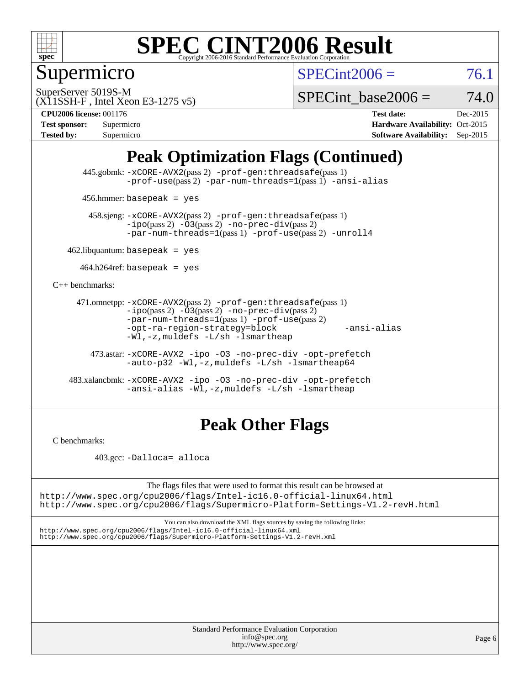

Supermicro

 $SPECint2006 = 76.1$  $SPECint2006 = 76.1$ 

(X11SSH-F , Intel Xeon E3-1275 v5) SuperServer 5019S-M

SPECint base2006 =  $74.0$ 

**[CPU2006 license:](http://www.spec.org/auto/cpu2006/Docs/result-fields.html#CPU2006license)** 001176 **[Test date:](http://www.spec.org/auto/cpu2006/Docs/result-fields.html#Testdate)** Dec-2015 **[Test sponsor:](http://www.spec.org/auto/cpu2006/Docs/result-fields.html#Testsponsor)** Supermicro **[Hardware Availability:](http://www.spec.org/auto/cpu2006/Docs/result-fields.html#HardwareAvailability)** Oct-2015 **[Tested by:](http://www.spec.org/auto/cpu2006/Docs/result-fields.html#Testedby)** Supermicro **Supermicro [Software Availability:](http://www.spec.org/auto/cpu2006/Docs/result-fields.html#SoftwareAvailability)** Sep-2015

## **[Peak Optimization Flags \(Continued\)](http://www.spec.org/auto/cpu2006/Docs/result-fields.html#PeakOptimizationFlags)**

 445.gobmk: [-xCORE-AVX2](http://www.spec.org/cpu2006/results/res2016q1/cpu2006-20151217-38467.flags.html#user_peakPASS2_CFLAGSPASS2_LDCFLAGS445_gobmk_f-xAVX2_5f5fc0cbe2c9f62c816d3e45806c70d7)(pass 2) [-prof-gen:threadsafe](http://www.spec.org/cpu2006/results/res2016q1/cpu2006-20151217-38467.flags.html#user_peakPASS1_CFLAGSPASS1_LDCFLAGS445_gobmk_prof_gen_21a26eb79f378b550acd7bec9fe4467a)(pass 1) [-prof-use](http://www.spec.org/cpu2006/results/res2016q1/cpu2006-20151217-38467.flags.html#user_peakPASS2_CFLAGSPASS2_LDCFLAGS445_gobmk_prof_use_bccf7792157ff70d64e32fe3e1250b55)(pass 2) [-par-num-threads=1](http://www.spec.org/cpu2006/results/res2016q1/cpu2006-20151217-38467.flags.html#user_peakPASS1_CFLAGSPASS1_LDCFLAGS445_gobmk_par_num_threads_786a6ff141b4e9e90432e998842df6c2)(pass 1) [-ansi-alias](http://www.spec.org/cpu2006/results/res2016q1/cpu2006-20151217-38467.flags.html#user_peakCOPTIMIZE445_gobmk_f-ansi-alias)

456.hmmer: basepeak = yes

 458.sjeng: [-xCORE-AVX2](http://www.spec.org/cpu2006/results/res2016q1/cpu2006-20151217-38467.flags.html#user_peakPASS2_CFLAGSPASS2_LDCFLAGS458_sjeng_f-xAVX2_5f5fc0cbe2c9f62c816d3e45806c70d7)(pass 2) [-prof-gen:threadsafe](http://www.spec.org/cpu2006/results/res2016q1/cpu2006-20151217-38467.flags.html#user_peakPASS1_CFLAGSPASS1_LDCFLAGS458_sjeng_prof_gen_21a26eb79f378b550acd7bec9fe4467a)(pass 1)  $-ipo(pass 2) -\overline{03(pass 2)}$  $-ipo(pass 2) -\overline{03(pass 2)}$  [-no-prec-div](http://www.spec.org/cpu2006/results/res2016q1/cpu2006-20151217-38467.flags.html#user_peakPASS2_CFLAGSPASS2_LDCFLAGS458_sjeng_f-no-prec-div)(pass 2) [-par-num-threads=1](http://www.spec.org/cpu2006/results/res2016q1/cpu2006-20151217-38467.flags.html#user_peakPASS1_CFLAGSPASS1_LDCFLAGS458_sjeng_par_num_threads_786a6ff141b4e9e90432e998842df6c2)(pass 1) [-prof-use](http://www.spec.org/cpu2006/results/res2016q1/cpu2006-20151217-38467.flags.html#user_peakPASS2_CFLAGSPASS2_LDCFLAGS458_sjeng_prof_use_bccf7792157ff70d64e32fe3e1250b55)(pass 2) [-unroll4](http://www.spec.org/cpu2006/results/res2016q1/cpu2006-20151217-38467.flags.html#user_peakCOPTIMIZE458_sjeng_f-unroll_4e5e4ed65b7fd20bdcd365bec371b81f)

 $462$ .libquantum: basepeak = yes

 $464.h264$ ref: basepeak = yes

[C++ benchmarks:](http://www.spec.org/auto/cpu2006/Docs/result-fields.html#CXXbenchmarks)

```
 471.omnetpp: -xCORE-AVX2(pass 2) -prof-gen:threadsafe(pass 1)
-i\text{po}(pass 2) -03(pass 2) -no-prec-div(pass 2)-par-num-threads=1(pass 1) -prof-use(pass 2)
-opt-ra-region-strategy=block -ansi-alias
-Wl,-z,muldefs -L/sh -lsmartheap
```
 473.astar: [-xCORE-AVX2](http://www.spec.org/cpu2006/results/res2016q1/cpu2006-20151217-38467.flags.html#user_peakCXXOPTIMIZE473_astar_f-xAVX2_5f5fc0cbe2c9f62c816d3e45806c70d7) [-ipo](http://www.spec.org/cpu2006/results/res2016q1/cpu2006-20151217-38467.flags.html#user_peakCXXOPTIMIZE473_astar_f-ipo) [-O3](http://www.spec.org/cpu2006/results/res2016q1/cpu2006-20151217-38467.flags.html#user_peakCXXOPTIMIZE473_astar_f-O3) [-no-prec-div](http://www.spec.org/cpu2006/results/res2016q1/cpu2006-20151217-38467.flags.html#user_peakCXXOPTIMIZE473_astar_f-no-prec-div) [-opt-prefetch](http://www.spec.org/cpu2006/results/res2016q1/cpu2006-20151217-38467.flags.html#user_peakCXXOPTIMIZE473_astar_f-opt-prefetch) [-auto-p32](http://www.spec.org/cpu2006/results/res2016q1/cpu2006-20151217-38467.flags.html#user_peakCXXOPTIMIZE473_astar_f-auto-p32) [-Wl,-z,muldefs](http://www.spec.org/cpu2006/results/res2016q1/cpu2006-20151217-38467.flags.html#user_peakEXTRA_LDFLAGS473_astar_link_force_multiple1_74079c344b956b9658436fd1b6dd3a8a) [-L/sh -lsmartheap64](http://www.spec.org/cpu2006/results/res2016q1/cpu2006-20151217-38467.flags.html#user_peakEXTRA_LIBS473_astar_SmartHeap64_ed4ef857ce90951921efb0d91eb88472)

 483.xalancbmk: [-xCORE-AVX2](http://www.spec.org/cpu2006/results/res2016q1/cpu2006-20151217-38467.flags.html#user_peakCXXOPTIMIZE483_xalancbmk_f-xAVX2_5f5fc0cbe2c9f62c816d3e45806c70d7) [-ipo](http://www.spec.org/cpu2006/results/res2016q1/cpu2006-20151217-38467.flags.html#user_peakCXXOPTIMIZE483_xalancbmk_f-ipo) [-O3](http://www.spec.org/cpu2006/results/res2016q1/cpu2006-20151217-38467.flags.html#user_peakCXXOPTIMIZE483_xalancbmk_f-O3) [-no-prec-div](http://www.spec.org/cpu2006/results/res2016q1/cpu2006-20151217-38467.flags.html#user_peakCXXOPTIMIZE483_xalancbmk_f-no-prec-div) [-opt-prefetch](http://www.spec.org/cpu2006/results/res2016q1/cpu2006-20151217-38467.flags.html#user_peakCXXOPTIMIZE483_xalancbmk_f-opt-prefetch) [-ansi-alias](http://www.spec.org/cpu2006/results/res2016q1/cpu2006-20151217-38467.flags.html#user_peakCXXOPTIMIZE483_xalancbmk_f-ansi-alias) [-Wl,-z,muldefs](http://www.spec.org/cpu2006/results/res2016q1/cpu2006-20151217-38467.flags.html#user_peakEXTRA_LDFLAGS483_xalancbmk_link_force_multiple1_74079c344b956b9658436fd1b6dd3a8a) [-L/sh -lsmartheap](http://www.spec.org/cpu2006/results/res2016q1/cpu2006-20151217-38467.flags.html#user_peakEXTRA_LIBS483_xalancbmk_SmartHeap_32f6c82aa1ed9c52345d30cf6e4a0499)

### **[Peak Other Flags](http://www.spec.org/auto/cpu2006/Docs/result-fields.html#PeakOtherFlags)**

[C benchmarks](http://www.spec.org/auto/cpu2006/Docs/result-fields.html#Cbenchmarks):

403.gcc: [-Dalloca=\\_alloca](http://www.spec.org/cpu2006/results/res2016q1/cpu2006-20151217-38467.flags.html#b403.gcc_peakEXTRA_CFLAGS_Dalloca_be3056838c12de2578596ca5467af7f3)

The flags files that were used to format this result can be browsed at <http://www.spec.org/cpu2006/flags/Intel-ic16.0-official-linux64.html>

<http://www.spec.org/cpu2006/flags/Supermicro-Platform-Settings-V1.2-revH.html>

You can also download the XML flags sources by saving the following links: <http://www.spec.org/cpu2006/flags/Intel-ic16.0-official-linux64.xml> <http://www.spec.org/cpu2006/flags/Supermicro-Platform-Settings-V1.2-revH.xml>